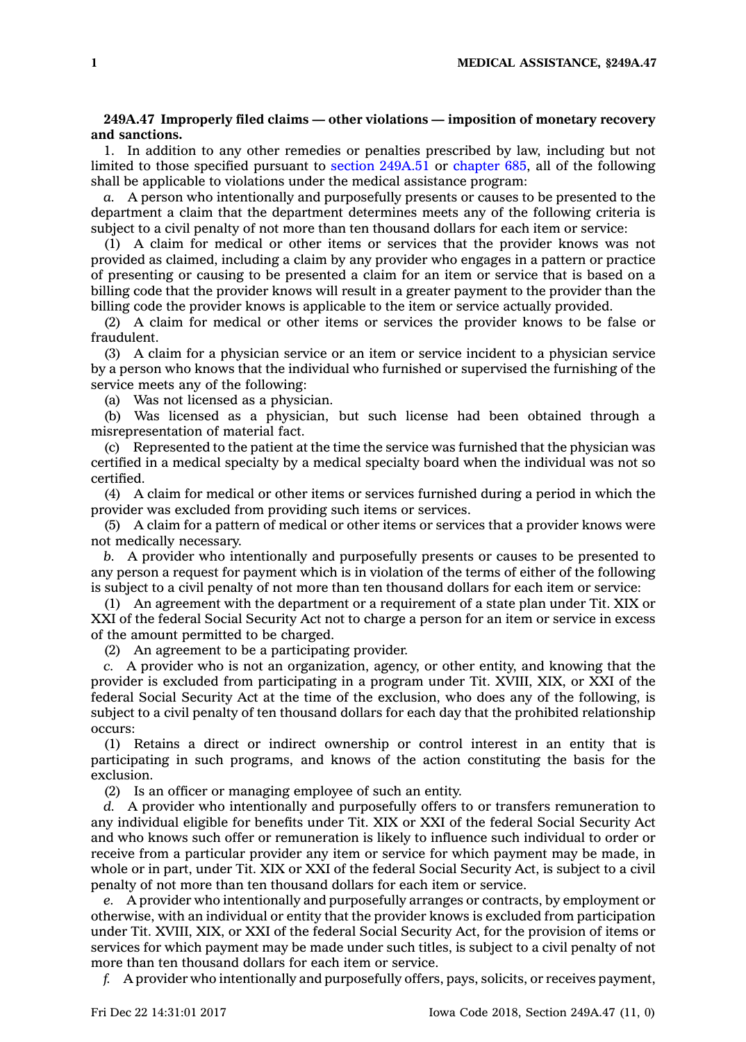## **249A.47 Improperly filed claims — other violations — imposition of monetary recovery and sanctions.**

1. In addition to any other remedies or penalties prescribed by law, including but not limited to those specified pursuant to section [249A.51](https://www.legis.iowa.gov/docs/code/249A.51.pdf) or [chapter](https://www.legis.iowa.gov/docs/code//685.pdf) 685, all of the following shall be applicable to violations under the medical assistance program:

*a.* A person who intentionally and purposefully presents or causes to be presented to the department <sup>a</sup> claim that the department determines meets any of the following criteria is subject to <sup>a</sup> civil penalty of not more than ten thousand dollars for each item or service:

(1) A claim for medical or other items or services that the provider knows was not provided as claimed, including <sup>a</sup> claim by any provider who engages in <sup>a</sup> pattern or practice of presenting or causing to be presented <sup>a</sup> claim for an item or service that is based on <sup>a</sup> billing code that the provider knows will result in <sup>a</sup> greater payment to the provider than the billing code the provider knows is applicable to the item or service actually provided.

(2) A claim for medical or other items or services the provider knows to be false or fraudulent.

(3) A claim for <sup>a</sup> physician service or an item or service incident to <sup>a</sup> physician service by <sup>a</sup> person who knows that the individual who furnished or supervised the furnishing of the service meets any of the following:

(a) Was not licensed as <sup>a</sup> physician.

(b) Was licensed as <sup>a</sup> physician, but such license had been obtained through <sup>a</sup> misrepresentation of material fact.

(c) Represented to the patient at the time the service was furnished that the physician was certified in <sup>a</sup> medical specialty by <sup>a</sup> medical specialty board when the individual was not so certified.

(4) A claim for medical or other items or services furnished during <sup>a</sup> period in which the provider was excluded from providing such items or services.

(5) A claim for <sup>a</sup> pattern of medical or other items or services that <sup>a</sup> provider knows were not medically necessary.

*b.* A provider who intentionally and purposefully presents or causes to be presented to any person <sup>a</sup> request for payment which is in violation of the terms of either of the following is subject to <sup>a</sup> civil penalty of not more than ten thousand dollars for each item or service:

(1) An agreement with the department or <sup>a</sup> requirement of <sup>a</sup> state plan under Tit. XIX or XXI of the federal Social Security Act not to charge <sup>a</sup> person for an item or service in excess of the amount permitted to be charged.

(2) An agreement to be <sup>a</sup> participating provider.

*c.* A provider who is not an organization, agency, or other entity, and knowing that the provider is excluded from participating in <sup>a</sup> program under Tit. XVIII, XIX, or XXI of the federal Social Security Act at the time of the exclusion, who does any of the following, is subject to <sup>a</sup> civil penalty of ten thousand dollars for each day that the prohibited relationship occurs:

(1) Retains <sup>a</sup> direct or indirect ownership or control interest in an entity that is participating in such programs, and knows of the action constituting the basis for the exclusion.

(2) Is an officer or managing employee of such an entity.

*d.* A provider who intentionally and purposefully offers to or transfers remuneration to any individual eligible for benefits under Tit. XIX or XXI of the federal Social Security Act and who knows such offer or remuneration is likely to influence such individual to order or receive from <sup>a</sup> particular provider any item or service for which payment may be made, in whole or in part, under Tit. XIX or XXI of the federal Social Security Act, is subject to <sup>a</sup> civil penalty of not more than ten thousand dollars for each item or service.

*e.* A provider who intentionally and purposefully arranges or contracts, by employment or otherwise, with an individual or entity that the provider knows is excluded from participation under Tit. XVIII, XIX, or XXI of the federal Social Security Act, for the provision of items or services for which payment may be made under such titles, is subject to <sup>a</sup> civil penalty of not more than ten thousand dollars for each item or service.

*f.* A provider who intentionally and purposefully offers, pays, solicits, or receives payment,